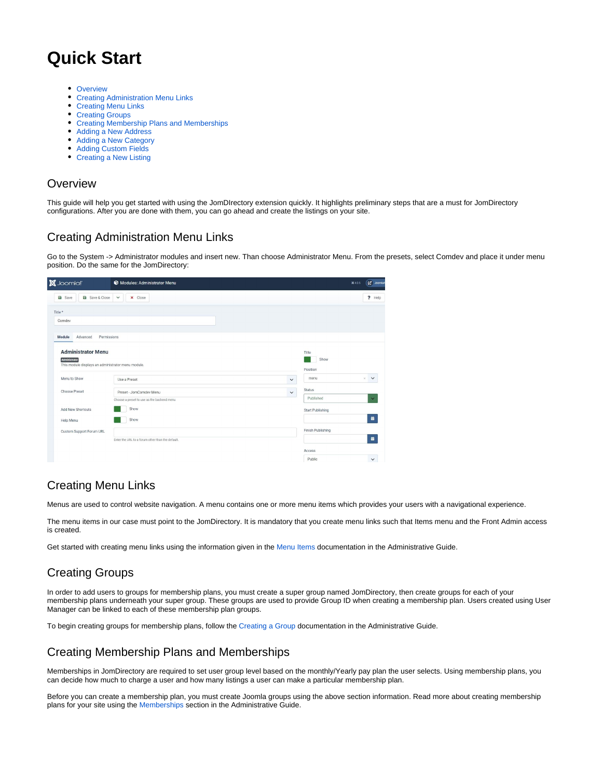# **Quick Start**

- [Overview](#page-0-0)
- **[Creating Administration Menu Links](#page-0-1)**
- [Creating Menu Links](#page-0-2)
- [Creating Groups](#page-0-3)
- [Creating Membership Plans and Memberships](#page-0-4)
- [Adding a New Address](#page-0-5)
- [Adding a New Category](#page-1-0)
- [Adding Custom Fields](#page-1-1)
- [Creating a New Listing](#page-1-2)

#### <span id="page-0-0"></span>**Overview**

This guide will help you get started with using the JomDIrectory extension quickly. It highlights preliminary steps that are a must for JomDirectory configurations. After you are done with them, you can go ahead and create the listings on your site.

# <span id="page-0-1"></span>Creating Administration Menu Links

Go to the System -> Administrator modules and insert new. Than choose Administrator Menu. From the presets, select Comdev and place it under menu position. Do the same for the JomDirectory:

| <b>X</b> Joomla!'                                  | Modules: Administrator Menu                      |              |                   | <b>E</b> Joomlas<br>¥405 |  |
|----------------------------------------------------|--------------------------------------------------|--------------|-------------------|--------------------------|--|
| a Save<br><b>a</b> Save & Close                    | <b>x</b> Close<br>$\checkmark$                   |              |                   | ? Help                   |  |
| Title *                                            |                                                  |              |                   |                          |  |
| Comdev                                             |                                                  |              |                   |                          |  |
| Advanced<br>Permissions<br>Module                  |                                                  |              |                   |                          |  |
| <b>Administrator Menu</b><br>Administrator         |                                                  |              | Title<br>Show     |                          |  |
| This module displays an administrator menu module. |                                                  |              | Position          |                          |  |
| Menu to Show                                       | Use a Preset                                     | $\checkmark$ | menu              | $\checkmark$<br>$\times$ |  |
| Choose Preset                                      | Preset - JomComdev Menu                          | $\check{~}$  | Status            |                          |  |
|                                                    | Choose a preset to use as the backend menu       |              | Published         | $\checkmark$             |  |
| Add New Shortcuts                                  | Show                                             |              | Start Publishing  |                          |  |
| Help Menu                                          | Show                                             |              |                   | 盖                        |  |
| Custom Support Forum URL                           |                                                  |              | Finish Publishing |                          |  |
|                                                    | Enter the URL to a forum other than the default. |              |                   | 苗                        |  |
|                                                    |                                                  |              | Access            |                          |  |
|                                                    |                                                  |              | Public            | $\checkmark$             |  |

# <span id="page-0-2"></span>Creating Menu Links

Menus are used to control website navigation. A menu contains one or more menu items which provides your users with a navigational experience.

The menu items in our case must point to the JomDirectory. It is mandatory that you create menu links such that Items menu and the Front Admin access is created.

Get started with creating menu links using the information given in the [Menu Items](http://confluence.comdev.eu/display/JD2/Menu+Items) documentation in the Administrative Guide.

# <span id="page-0-3"></span>Creating Groups

In order to add users to groups for membership plans, you must create a super group named JomDirectory, then create groups for each of your membership plans underneath your super group. These groups are used to provide Group ID when creating a membership plan. Users created using User Manager can be linked to each of these membership plan groups.

To begin creating groups for membership plans, follow the [Creating a Group](http://confluence.comdev.eu/display/JD2/Membership#Membership-CreatinganewGroupforMembershipPlans) documentation in the Administrative Guide.

# <span id="page-0-4"></span>Creating Membership Plans and Memberships

Memberships in JomDirectory are required to set user group level based on the monthly/Yearly pay plan the user selects. Using membership plans, you can decide how much to charge a user and how many listings a user can make a particular membership plan.

<span id="page-0-5"></span>Before you can create a membership plan, you must create Joomla groups using the above section information. Read more about creating membership plans for your site using the [Memberships](http://confluence.comdev.eu/display/JD2/Membership) section in the Administrative Guide.